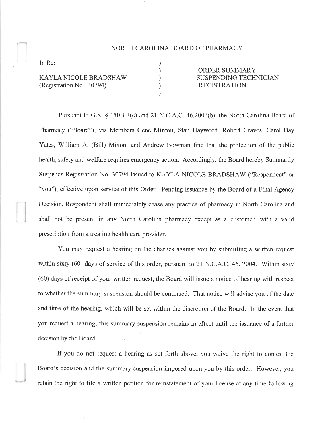## NORTH CAROLINA BOARD OF PHARMACY

) ) ) ) )

In Re:

)

KAYLA NICOLE BRADSHAV/ (Registration No. 30794)

ORDER SUMMARY SUSPENDING TECHNICIAN REGISTRATION

Pursuant to G.S. \$ 1508-3(c) and 21 N.C.A.C. 46.2006(b), the North Carolina Board of Pharmacy ("Board"), vis Members Gene Minton, Stan Haywood, Robert Graves, Carol Day Yates, William A. (Bill) Mixon, and Andrew Bowman find that the protection of the public health, safety and welfare requires emergency action. Accordingly, the Board hereby Summarily Suspends Registration No. 30794 issued to KAYLA NICOLE BRADSHAW ("Respondent" or "you"), effective upon service of this Order. Pending issuance by the Board of a Final Agency Decision, Respondent shall immediately cease any practice of pharmacy in North Carolina and shall not be present in any North Carolina pharmacy except as a customer, with a valid prescription from a treating health care provider.

You may request a hearing on the charges against you by submitting a written request within sixty (60) days of service of this order, pursuant to 21 N.C.A.C. 46. 2004. Within sixty (60) days of receipt of your written request, the Board will issue a notice of hearing with respect to whether the summary suspension should be continued. That notice will advise you of the date and time of the hearing, which will be set within the discretion of the Board. ln the event that you request a hearing, this summary suspension remains in effect until the issuance of a further decision by the Board.

If you do not request a hearing as set forth above, you waive the right to contest the Board's decision and the summary suspension imposed upon you by this order. However, you retain the right to file a written petition for reinstatement of your license at any time following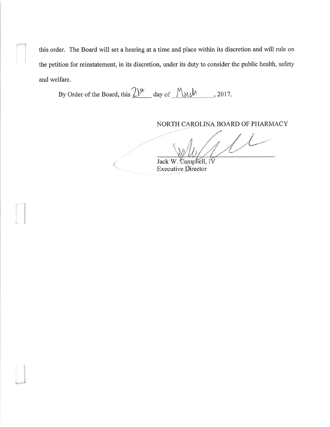this order. The Board will set a hearing at a time and place within its discretion and will rule on the petition for reinstatement, in its discretion, under its duty to consider the public health, safety and welfare.

By Order of the Board, this  $\frac{21^{34}}{2}$  day of  $\frac{M_{31}M_{31}}{2017}$ , 2017.

NORTH CAROLINA BOARD OF PHARMACY

Jack W. Campbell, IV **Executive Director**